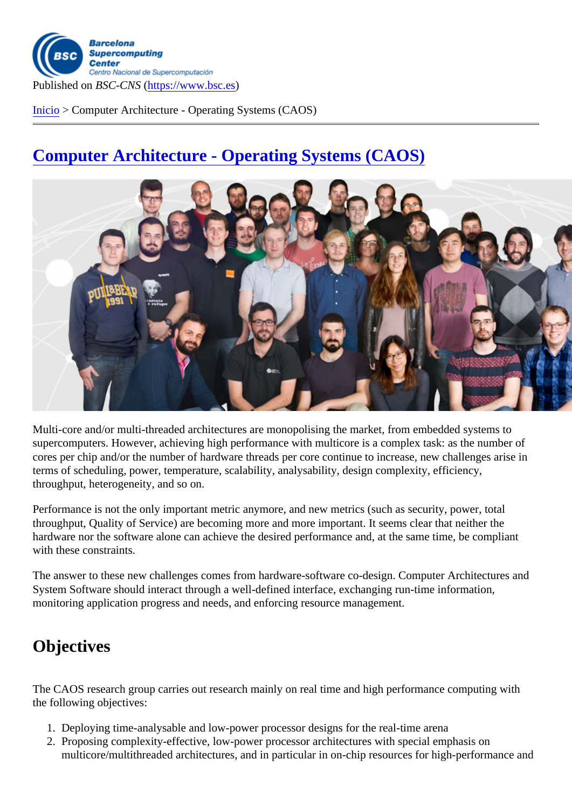Inicio > Computer Architecture - Operating Systems (CAOS)

## [Com](https://www.bsc.es/es)puter Architecture - Operating Systems (CAOS)

Multi-core and/or multi-threaded architectures are monopolising the market, from embedded systems to supercomputers. However, achieving high performance with multicore is a complex task: as the number of cores per chip and/or the number of hardware threads per core continue to increase, new challenges arise in terms of scheduling, power, temperature, scalability, analysability, design complexity, efficiency, throughput, heterogeneity, and so on.

Performance is not the only important metric anymore, and new metrics (such as security, power, total throughput, Quality of Service) are becoming more and more important. It seems clear that neither the hardware nor the software alone can achieve the desired performance and, at the same time, be compliant with these constraints.

The answer to these new challenges comes from hardware-software co-design. Computer Architectures and System Software should interact through a well-defined interface, exchanging run-time information, monitoring application progress and needs, and enforcing resource management.

## **Objectives**

The CAOS research group carries out research mainly on real time and high performance computing with the following objectives:

- 1. Deploying time-analysable and low-power processor designs for the real-time arena
- 2. Proposing complexity-effective, low-power processor architectures with special emphasis on multicore/multithreaded architectures, and in particular in on-chip resources for high-performance and